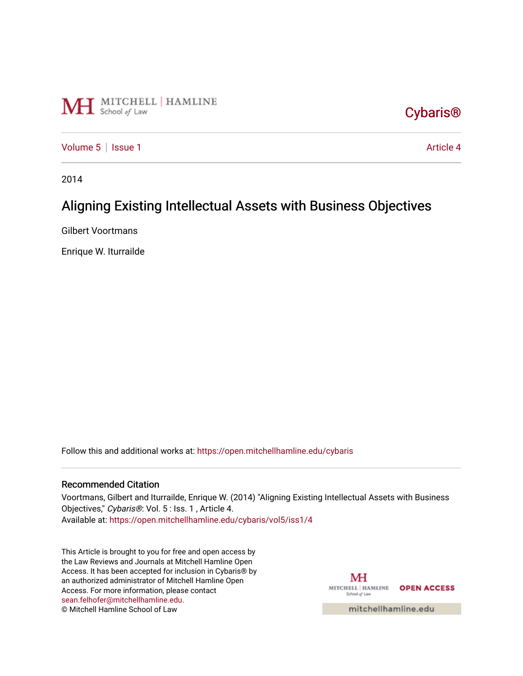

[Cybaris®](https://open.mitchellhamline.edu/cybaris) 

[Volume 5](https://open.mitchellhamline.edu/cybaris/vol5) | [Issue 1](https://open.mitchellhamline.edu/cybaris/vol5/iss1) Article 4

2014

# Aligning Existing Intellectual Assets with Business Objectives

Gilbert Voortmans

Enrique W. Iturrailde

Follow this and additional works at: [https://open.mitchellhamline.edu/cybaris](https://open.mitchellhamline.edu/cybaris?utm_source=open.mitchellhamline.edu%2Fcybaris%2Fvol5%2Fiss1%2F4&utm_medium=PDF&utm_campaign=PDFCoverPages) 

# Recommended Citation

Voortmans, Gilbert and Iturrailde, Enrique W. (2014) "Aligning Existing Intellectual Assets with Business Objectives," Cybaris®: Vol. 5 : Iss. 1 , Article 4. Available at: [https://open.mitchellhamline.edu/cybaris/vol5/iss1/4](https://open.mitchellhamline.edu/cybaris/vol5/iss1/4?utm_source=open.mitchellhamline.edu%2Fcybaris%2Fvol5%2Fiss1%2F4&utm_medium=PDF&utm_campaign=PDFCoverPages)

This Article is brought to you for free and open access by the Law Reviews and Journals at Mitchell Hamline Open Access. It has been accepted for inclusion in Cybaris® by an authorized administrator of Mitchell Hamline Open Access. For more information, please contact [sean.felhofer@mitchellhamline.edu](mailto:sean.felhofer@mitchellhamline.edu). © Mitchell Hamline School of Law

MH MITCHELL | HAMLINE OPEN ACCESS School of Law

mitchellhamline.edu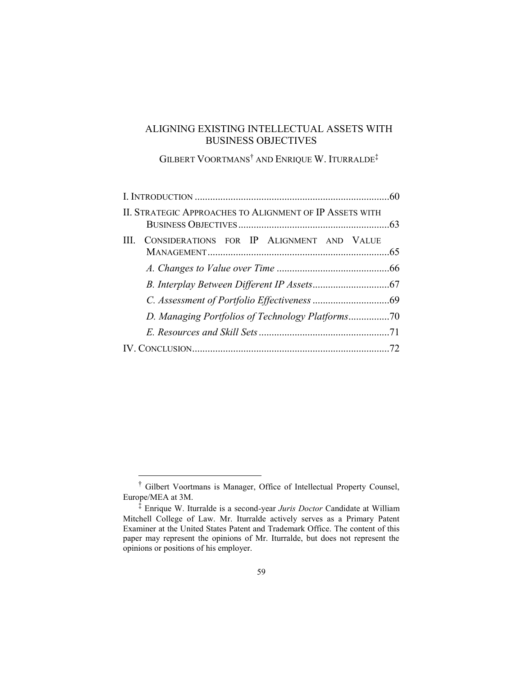# ALIGNING EXISTING INTELLECTUAL ASSETS WITH BUSINESS OBJECTIVES

GILBERT VOORTMANS† AND ENRIQUE W. ITURRALDE‡

| II. STRATEGIC APPROACHES TO ALIGNMENT OF IP ASSETS WITH |  |
|---------------------------------------------------------|--|
| III. CONSIDERATIONS FOR IP ALIGNMENT AND VALUE          |  |
|                                                         |  |
|                                                         |  |
|                                                         |  |
| D. Managing Portfolios of Technology Platforms70        |  |
|                                                         |  |
|                                                         |  |
|                                                         |  |

<sup>†</sup> Gilbert Voortmans is Manager, Office of Intellectual Property Counsel, Europe/MEA at 3M.

<sup>‡</sup> Enrique W. Iturralde is a second-year *Juris Doctor* Candidate at William Mitchell College of Law. Mr. Iturralde actively serves as a Primary Patent Examiner at the United States Patent and Trademark Office. The content of this paper may represent the opinions of Mr. Iturralde, but does not represent the opinions or positions of his employer.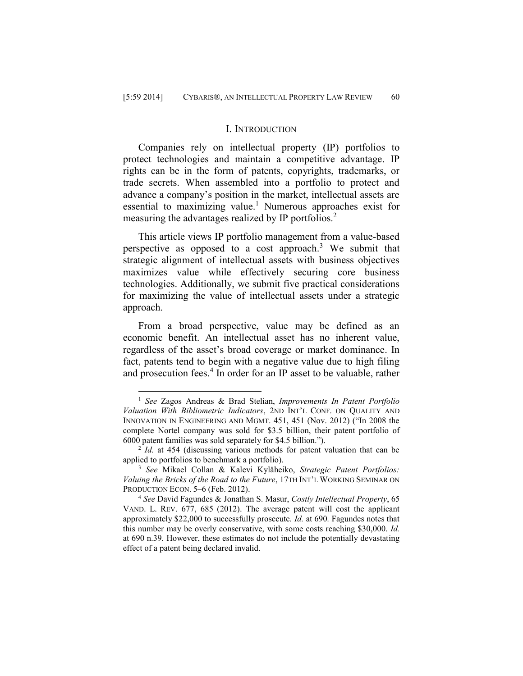#### I. INTRODUCTION

Companies rely on intellectual property (IP) portfolios to protect technologies and maintain a competitive advantage. IP rights can be in the form of patents, copyrights, trademarks, or trade secrets. When assembled into a portfolio to protect and advance a company's position in the market, intellectual assets are essential to maximizing value.<sup>1</sup> Numerous approaches exist for measuring the advantages realized by IP portfolios.<sup>2</sup>

This article views IP portfolio management from a value-based perspective as opposed to a cost approach.<sup>3</sup> We submit that strategic alignment of intellectual assets with business objectives maximizes value while effectively securing core business technologies. Additionally, we submit five practical considerations for maximizing the value of intellectual assets under a strategic approach.

From a broad perspective, value may be defined as an economic benefit. An intellectual asset has no inherent value, regardless of the asset's broad coverage or market dominance. In fact, patents tend to begin with a negative value due to high filing and prosecution fees.<sup>4</sup> In order for an IP asset to be valuable, rather

<sup>1</sup> *See* Zagos Andreas & Brad Stelian, *Improvements In Patent Portfolio Valuation With Bibliometric Indicators*, 2ND INT'L CONF. ON QUALITY AND INNOVATION IN ENGINEERING AND MGMT. 451, 451 (Nov. 2012) ("In 2008 the complete Nortel company was sold for \$3.5 billion, their patent portfolio of 6000 patent families was sold separately for \$4.5 billion.").

<sup>&</sup>lt;sup>2</sup> *Id.* at 454 (discussing various methods for patent valuation that can be applied to portfolios to benchmark a portfolio).

<sup>3</sup> *See* Mikael Collan & Kalevi Kyläheiko, *Strategic Patent Portfolios: Valuing the Bricks of the Road to the Future*, 17TH INT'L WORKING SEMINAR ON PRODUCTION ECON. 5-6 (Feb. 2012).

<sup>4</sup> *See* David Fagundes & Jonathan S. Masur, *Costly Intellectual Property*, 65 VAND. L. REV. 677, 685 (2012). The average patent will cost the applicant approximately \$22,000 to successfully prosecute. *Id.* at 690*.* Fagundes notes that this number may be overly conservative, with some costs reaching \$30,000. *Id.* at 690 n.39*.* However, these estimates do not include the potentially devastating effect of a patent being declared invalid.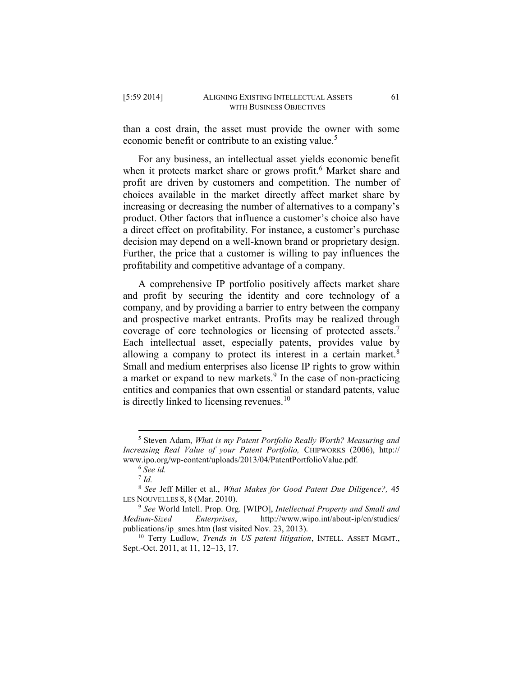than a cost drain, the asset must provide the owner with some economic benefit or contribute to an existing value.<sup>5</sup>

For any business, an intellectual asset yields economic benefit when it protects market share or grows profit.<sup>6</sup> Market share and profit are driven by customers and competition. The number of choices available in the market directly affect market share by increasing or decreasing the number of alternatives to a company's product. Other factors that influence a customer's choice also have a direct effect on profitability. For instance, a customer's purchase decision may depend on a well-known brand or proprietary design. Further, the price that a customer is willing to pay influences the profitability and competitive advantage of a company.

A comprehensive IP portfolio positively affects market share and profit by securing the identity and core technology of a company, and by providing a barrier to entry between the company and prospective market entrants. Profits may be realized through coverage of core technologies or licensing of protected assets. 7 Each intellectual asset, especially patents, provides value by allowing a company to protect its interest in a certain market.<sup>8</sup> Small and medium enterprises also license IP rights to grow within a market or expand to new markets. $9$  In the case of non-practicing entities and companies that own essential or standard patents, value is directly linked to licensing revenues.<sup>10</sup>

<sup>5</sup> Steven Adam, *What is my Patent Portfolio Really Worth? Measuring and Increasing Real Value of your Patent Portfolio,* CHIPWORKS (2006), http:// www.ipo.org/wp-content/uploads/2013/04/PatentPortfolioValue.pdf.

<sup>6</sup> *See id.*

<sup>7</sup> *Id.*

<sup>8</sup> *See* Jeff Miller et al., *What Makes for Good Patent Due Diligence?,* 45 LES NOUVELLES 8, 8 (Mar. 2010).

<sup>9</sup> *See* World Intell. Prop. Org. [WIPO], *Intellectual Property and Small and Medium-Sized Enterprises*, http://www.wipo.int/about-ip/en/studies/ publications/ip\_smes.htm (last visited Nov. 23, 2013).

<sup>10</sup> Terry Ludlow, *Trends in US patent litigation*, INTELL. ASSET MGMT., Sept.-Oct. 2011, at 11, 12–13, 17.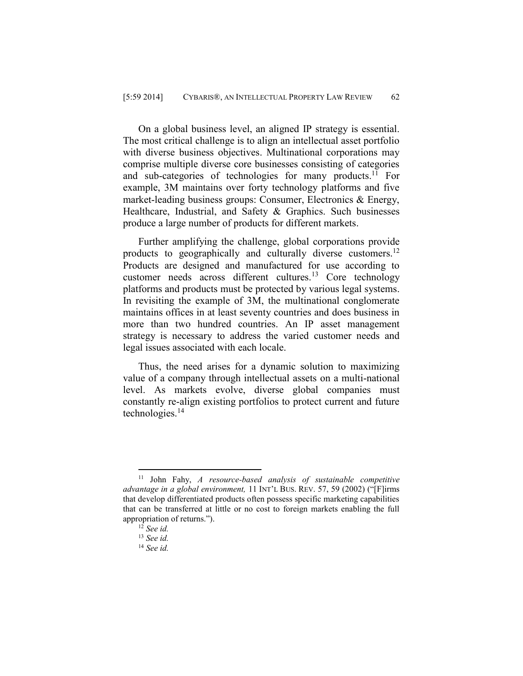On a global business level, an aligned IP strategy is essential. The most critical challenge is to align an intellectual asset portfolio with diverse business objectives. Multinational corporations may comprise multiple diverse core businesses consisting of categories and sub-categories of technologies for many products.<sup>11</sup> For example, 3M maintains over forty technology platforms and five market-leading business groups: Consumer, Electronics & Energy, Healthcare, Industrial, and Safety & Graphics. Such businesses produce a large number of products for different markets.

Further amplifying the challenge, global corporations provide products to geographically and culturally diverse customers.<sup>12</sup> Products are designed and manufactured for use according to customer needs across different cultures.<sup>13</sup> Core technology platforms and products must be protected by various legal systems. In revisiting the example of 3M, the multinational conglomerate maintains offices in at least seventy countries and does business in more than two hundred countries. An IP asset management strategy is necessary to address the varied customer needs and legal issues associated with each locale.

Thus, the need arises for a dynamic solution to maximizing value of a company through intellectual assets on a multi-national level. As markets evolve, diverse global companies must constantly re-align existing portfolios to protect current and future technologies.<sup>14</sup>

<sup>11</sup> John Fahy, *A resource-based analysis of sustainable competitive advantage in a global environment,* 11 INT'L BUS. REV. 57, 59 (2002) ("[F]irms that develop differentiated products often possess specific marketing capabilities that can be transferred at little or no cost to foreign markets enabling the full appropriation of returns.").

<sup>12</sup> *See id.*

<sup>13</sup> *See id.*

<sup>14</sup> *See id.*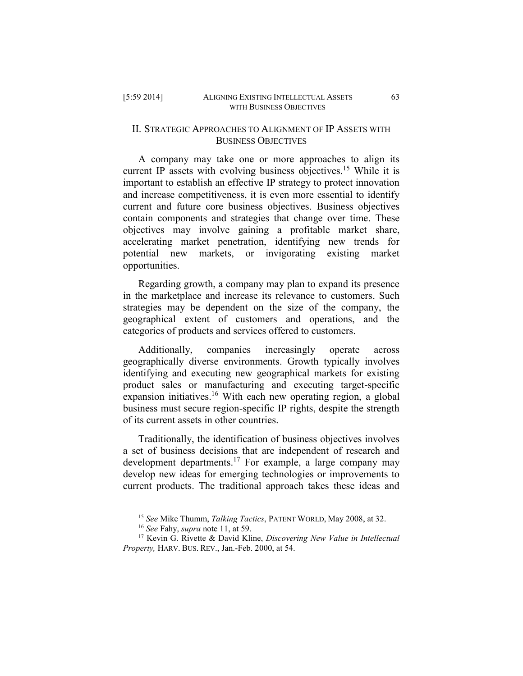# II. STRATEGIC APPROACHES TO ALIGNMENT OF IP ASSETS WITH BUSINESS OBJECTIVES

A company may take one or more approaches to align its current IP assets with evolving business objectives.<sup>15</sup> While it is important to establish an effective IP strategy to protect innovation and increase competitiveness, it is even more essential to identify current and future core business objectives. Business objectives contain components and strategies that change over time. These objectives may involve gaining a profitable market share, accelerating market penetration, identifying new trends for potential new markets, or invigorating existing market opportunities.

Regarding growth, a company may plan to expand its presence in the marketplace and increase its relevance to customers. Such strategies may be dependent on the size of the company, the geographical extent of customers and operations, and the categories of products and services offered to customers.

Additionally, companies increasingly operate across geographically diverse environments. Growth typically involves identifying and executing new geographical markets for existing product sales or manufacturing and executing target-specific expansion initiatives.<sup>16</sup> With each new operating region, a global business must secure region-specific IP rights, despite the strength of its current assets in other countries.

Traditionally, the identification of business objectives involves a set of business decisions that are independent of research and development departments.<sup>17</sup> For example, a large company may develop new ideas for emerging technologies or improvements to current products. The traditional approach takes these ideas and

<sup>15</sup> *See* Mike Thumm, *Talking Tactics*, PATENT WORLD, May 2008, at 32.

<sup>16</sup> *See* Fahy, *supra* note [11,](#page--1-6) at 59.

<sup>17</sup> Kevin G. Rivette & David Kline, *Discovering New Value in Intellectual Property,* HARV. BUS. REV., Jan.-Feb. 2000, at 54.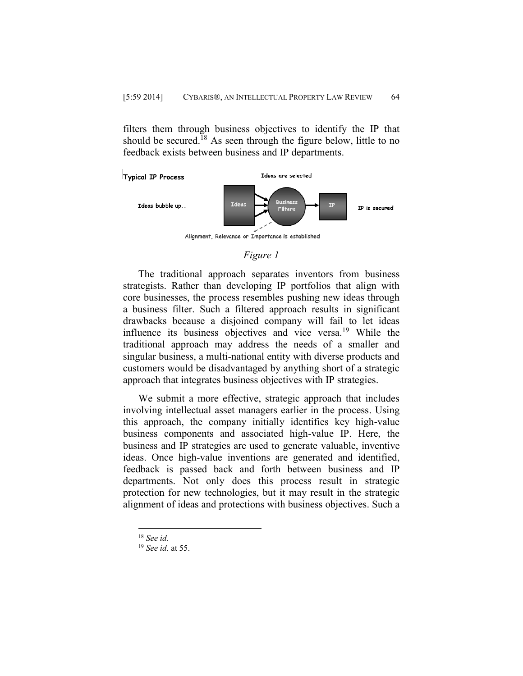filters them through business objectives to identify the IP that should be secured.<sup>18</sup> As seen through the figure below, little to no feedback exists between business and IP departments.



### *Figure 1*

The traditional approach separates inventors from business strategists. Rather than developing IP portfolios that align with core businesses, the process resembles pushing new ideas through a business filter. Such a filtered approach results in significant drawbacks because a disjoined company will fail to let ideas influence its business objectives and vice versa.<sup>19</sup> While the traditional approach may address the needs of a smaller and singular business, a multi-national entity with diverse products and customers would be disadvantaged by anything short of a strategic approach that integrates business objectives with IP strategies.

We submit a more effective, strategic approach that includes involving intellectual asset managers earlier in the process. Using this approach, the company initially identifies key high-value business components and associated high-value IP. Here, the business and IP strategies are used to generate valuable, inventive ideas. Once high-value inventions are generated and identified, feedback is passed back and forth between business and IP departments. Not only does this process result in strategic protection for new technologies, but it may result in the strategic alignment of ideas and protections with business objectives. Such a

<sup>18</sup> *See id.*

<sup>19</sup> *See id.* at 55.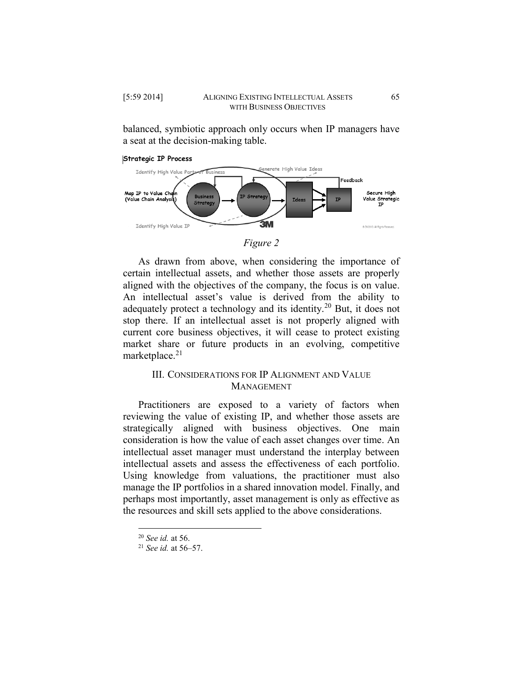balanced, symbiotic approach only occurs when IP managers have a seat at the decision-making table.



*Figure 2*

As drawn from above, when considering the importance of certain intellectual assets, and whether those assets are properly aligned with the objectives of the company, the focus is on value. An intellectual asset's value is derived from the ability to adequately protect a technology and its identity.<sup>20</sup> But, it does not stop there. If an intellectual asset is not properly aligned with current core business objectives, it will cease to protect existing market share or future products in an evolving, competitive marketplace. $21$ 

# III. CONSIDERATIONS FOR IP ALIGNMENT AND VALUE MANAGEMENT

Practitioners are exposed to a variety of factors when reviewing the value of existing IP, and whether those assets are strategically aligned with business objectives. One main consideration is how the value of each asset changes over time. An intellectual asset manager must understand the interplay between intellectual assets and assess the effectiveness of each portfolio. Using knowledge from valuations, the practitioner must also manage the IP portfolios in a shared innovation model. Finally, and perhaps most importantly, asset management is only as effective as the resources and skill sets applied to the above considerations.

<sup>20</sup> *See id.* at 56.

<sup>21</sup> *See id.* at 56–57.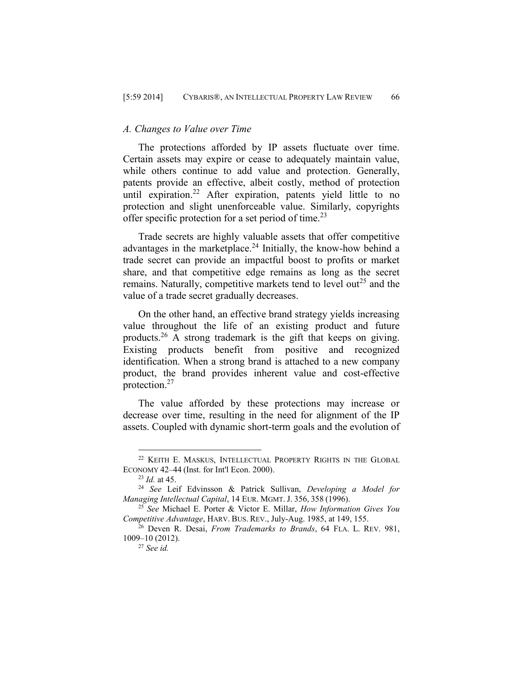# *A. Changes to Value over Time*

The protections afforded by IP assets fluctuate over time. Certain assets may expire or cease to adequately maintain value, while others continue to add value and protection. Generally, patents provide an effective, albeit costly, method of protection until expiration.<sup>22</sup> After expiration, patents yield little to no protection and slight unenforceable value. Similarly, copyrights offer specific protection for a set period of time.<sup>23</sup>

Trade secrets are highly valuable assets that offer competitive advantages in the marketplace.<sup>24</sup> Initially, the know-how behind a trade secret can provide an impactful boost to profits or market share, and that competitive edge remains as long as the secret remains. Naturally, competitive markets tend to level out<sup>25</sup> and the value of a trade secret gradually decreases.

On the other hand, an effective brand strategy yields increasing value throughout the life of an existing product and future products.<sup>26</sup> A strong trademark is the gift that keeps on giving. Existing products benefit from positive and recognized identification. When a strong brand is attached to a new company product, the brand provides inherent value and cost-effective protection.<sup>27</sup>

The value afforded by these protections may increase or decrease over time, resulting in the need for alignment of the IP assets. Coupled with dynamic short-term goals and the evolution of

<sup>&</sup>lt;sup>22</sup> KEITH E. MASKUS, INTELLECTUAL PROPERTY RIGHTS IN THE GLOBAL ECONOMY 42–44 (Inst. for Int'l Econ. 2000).

<sup>23</sup> *Id.* at 45.

<sup>24</sup> *See* Leif Edvinsson & Patrick Sullivan, *Developing a Model for Managing Intellectual Capital*, 14 EUR. MGMT. J. 356, 358 (1996).

<sup>25</sup> *See* Michael E. Porter & Victor E. Millar, *How Information Gives You Competitive Advantage*, HARV. BUS. REV., July-Aug. 1985, at 149, 155.

<sup>26</sup> Deven R. Desai, *From Trademarks to Brands*, 64 FLA. L. REV. 981, 1009–10 (2012).

<sup>27</sup> *See id.*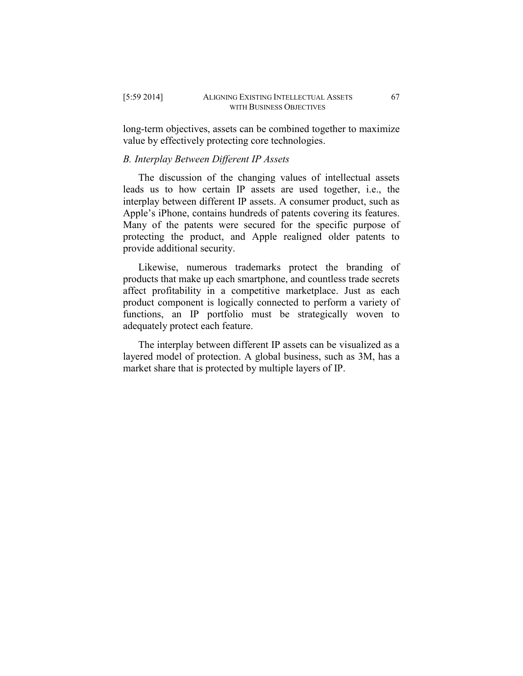long-term objectives, assets can be combined together to maximize value by effectively protecting core technologies.

# *B. Interplay Between Different IP Assets*

The discussion of the changing values of intellectual assets leads us to how certain IP assets are used together, i.e., the interplay between different IP assets. A consumer product, such as Apple's iPhone, contains hundreds of patents covering its features. Many of the patents were secured for the specific purpose of protecting the product, and Apple realigned older patents to provide additional security.

Likewise, numerous trademarks protect the branding of products that make up each smartphone, and countless trade secrets affect profitability in a competitive marketplace. Just as each product component is logically connected to perform a variety of functions, an IP portfolio must be strategically woven to adequately protect each feature.

The interplay between different IP assets can be visualized as a layered model of protection. A global business, such as 3M, has a market share that is protected by multiple layers of IP.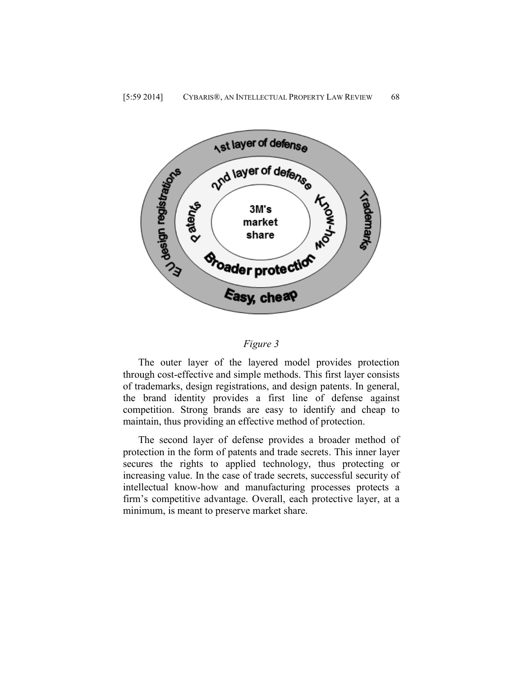

#### *Figure 3*

The outer layer of the layered model provides protection through cost-effective and simple methods. This first layer consists of trademarks, design registrations, and design patents. In general, the brand identity provides a first line of defense against competition. Strong brands are easy to identify and cheap to maintain, thus providing an effective method of protection.

The second layer of defense provides a broader method of protection in the form of patents and trade secrets. This inner layer secures the rights to applied technology, thus protecting or increasing value. In the case of trade secrets, successful security of intellectual know-how and manufacturing processes protects a firm's competitive advantage. Overall, each protective layer, at a minimum, is meant to preserve market share.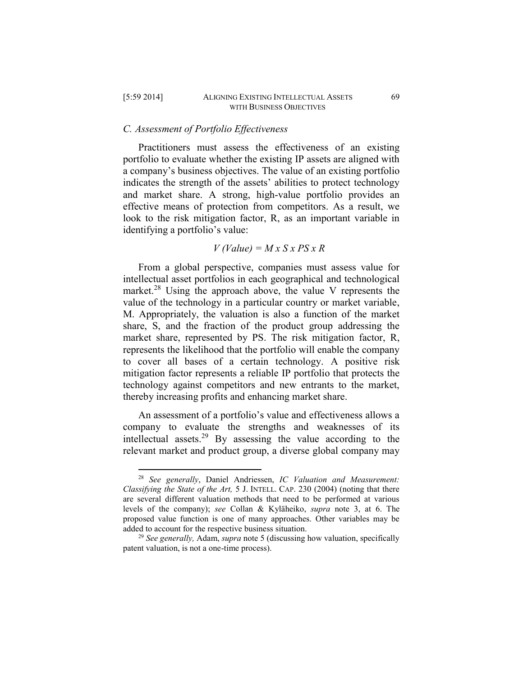### *C. Assessment of Portfolio Effectiveness*

Practitioners must assess the effectiveness of an existing portfolio to evaluate whether the existing IP assets are aligned with a company's business objectives. The value of an existing portfolio indicates the strength of the assets' abilities to protect technology and market share. A strong, high-value portfolio provides an effective means of protection from competitors. As a result, we look to the risk mitigation factor, R, as an important variable in identifying a portfolio's value:

#### $V$  (Value) =  $M x S x PS x R$

From a global perspective, companies must assess value for intellectual asset portfolios in each geographical and technological market.<sup>28</sup> Using the approach above, the value V represents the value of the technology in a particular country or market variable, M. Appropriately, the valuation is also a function of the market share, S, and the fraction of the product group addressing the market share, represented by PS. The risk mitigation factor, R, represents the likelihood that the portfolio will enable the company to cover all bases of a certain technology. A positive risk mitigation factor represents a reliable IP portfolio that protects the technology against competitors and new entrants to the market, thereby increasing profits and enhancing market share.

An assessment of a portfolio's value and effectiveness allows a company to evaluate the strengths and weaknesses of its intellectual assets.<sup>29</sup> By assessing the value according to the relevant market and product group, a diverse global company may

<sup>28</sup> *See generally*, Daniel Andriessen, *IC Valuation and Measurement: Classifying the State of the Art,* 5 J. INTELL. CAP. 230 (2004) (noting that there are several different valuation methods that need to be performed at various levels of the company); *see* Collan & Kyläheiko, *supra* note [3,](#page--1-7) at 6. The proposed value function is one of many approaches. Other variables may be added to account for the respective business situation.

<sup>29</sup> *See generally,* Adam, *supra* note [5](#page--1-8) (discussing how valuation, specifically patent valuation, is not a one-time process).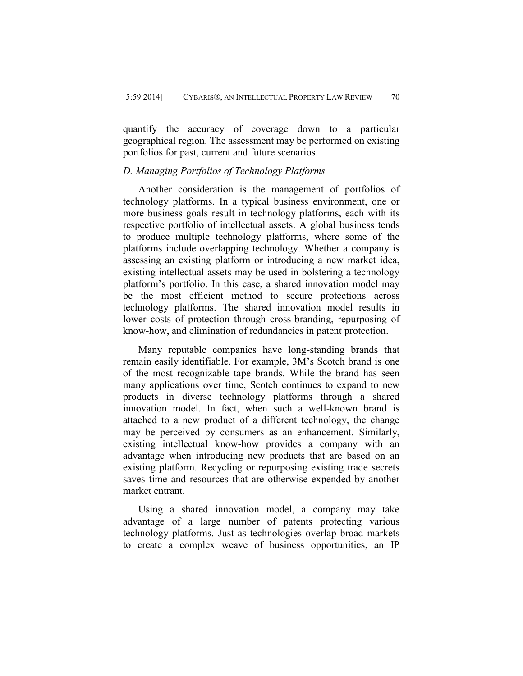quantify the accuracy of coverage down to a particular geographical region. The assessment may be performed on existing portfolios for past, current and future scenarios.

# *D. Managing Portfolios of Technology Platforms*

Another consideration is the management of portfolios of technology platforms. In a typical business environment, one or more business goals result in technology platforms, each with its respective portfolio of intellectual assets. A global business tends to produce multiple technology platforms, where some of the platforms include overlapping technology. Whether a company is assessing an existing platform or introducing a new market idea, existing intellectual assets may be used in bolstering a technology platform's portfolio. In this case, a shared innovation model may be the most efficient method to secure protections across technology platforms. The shared innovation model results in lower costs of protection through cross-branding, repurposing of know-how, and elimination of redundancies in patent protection.

Many reputable companies have long-standing brands that remain easily identifiable. For example, 3M's Scotch brand is one of the most recognizable tape brands. While the brand has seen many applications over time, Scotch continues to expand to new products in diverse technology platforms through a shared innovation model. In fact, when such a well-known brand is attached to a new product of a different technology, the change may be perceived by consumers as an enhancement. Similarly, existing intellectual know-how provides a company with an advantage when introducing new products that are based on an existing platform. Recycling or repurposing existing trade secrets saves time and resources that are otherwise expended by another market entrant.

Using a shared innovation model, a company may take advantage of a large number of patents protecting various technology platforms. Just as technologies overlap broad markets to create a complex weave of business opportunities, an IP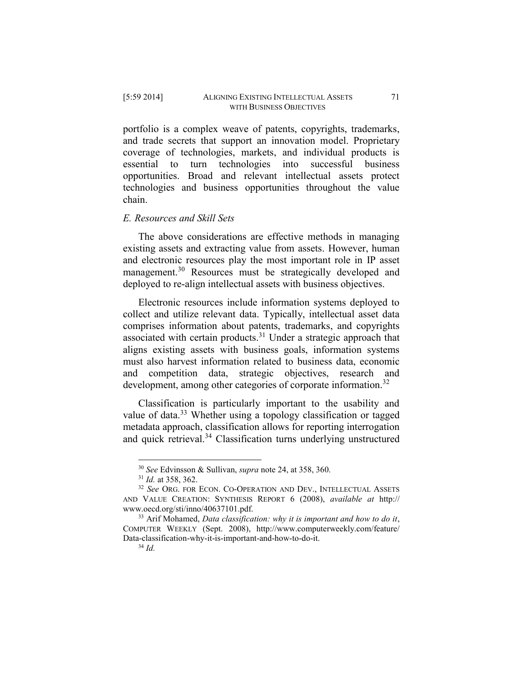portfolio is a complex weave of patents, copyrights, trademarks, and trade secrets that support an innovation model. Proprietary coverage of technologies, markets, and individual products is essential to turn technologies into successful business opportunities. Broad and relevant intellectual assets protect technologies and business opportunities throughout the value chain.

#### *E. Resources and Skill Sets*

The above considerations are effective methods in managing existing assets and extracting value from assets. However, human and electronic resources play the most important role in IP asset management.<sup>30</sup> Resources must be strategically developed and deployed to re-align intellectual assets with business objectives.

Electronic resources include information systems deployed to collect and utilize relevant data. Typically, intellectual asset data comprises information about patents, trademarks, and copyrights associated with certain products.<sup>31</sup> Under a strategic approach that aligns existing assets with business goals, information systems must also harvest information related to business data, economic and competition data, strategic objectives, research and development, among other categories of corporate information.<sup>32</sup>

Classification is particularly important to the usability and value of data.<sup>33</sup> Whether using a topology classification or tagged metadata approach, classification allows for reporting interrogation and quick retrieval.<sup>34</sup> Classification turns underlying unstructured

<sup>30</sup> *See* Edvinsson & Sullivan, *supra* note [24,](#page--1-9) at 358, 360.

<sup>31</sup> *Id.* at 358, 362.

<sup>32</sup> *See* ORG. FOR ECON. CO-OPERATION AND DEV., INTELLECTUAL ASSETS AND VALUE CREATION: SYNTHESIS REPORT 6 (2008), *available at* http:// www.oecd.org/sti/inno/40637101.pdf.

<sup>33</sup> Arif Mohamed, *Data classification: why it is important and how to do it*, COMPUTER WEEKLY (Sept. 2008), http://www.computerweekly.com/feature/ Data-classification-why-it-is-important-and-how-to-do-it.

<sup>34</sup> *Id.*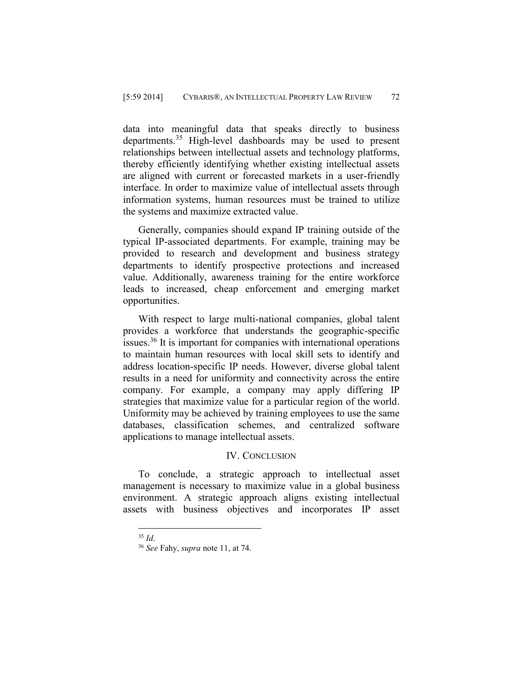data into meaningful data that speaks directly to business departments.<sup>35</sup> High-level dashboards may be used to present relationships between intellectual assets and technology platforms, thereby efficiently identifying whether existing intellectual assets are aligned with current or forecasted markets in a user-friendly interface. In order to maximize value of intellectual assets through information systems, human resources must be trained to utilize the systems and maximize extracted value.

Generally, companies should expand IP training outside of the typical IP-associated departments. For example, training may be provided to research and development and business strategy departments to identify prospective protections and increased value. Additionally, awareness training for the entire workforce leads to increased, cheap enforcement and emerging market opportunities.

With respect to large multi-national companies, global talent provides a workforce that understands the geographic-specific issues. $36$  It is important for companies with international operations to maintain human resources with local skill sets to identify and address location-specific IP needs. However, diverse global talent results in a need for uniformity and connectivity across the entire company. For example, a company may apply differing IP strategies that maximize value for a particular region of the world. Uniformity may be achieved by training employees to use the same databases, classification schemes, and centralized software applications to manage intellectual assets.

# IV. CONCLUSION

To conclude, a strategic approach to intellectual asset management is necessary to maximize value in a global business environment. A strategic approach aligns existing intellectual assets with business objectives and incorporates IP asset

<sup>35</sup> *Id*.

<sup>36</sup> *See* Fahy, *supra* note [11,](#page--1-6) at 74.